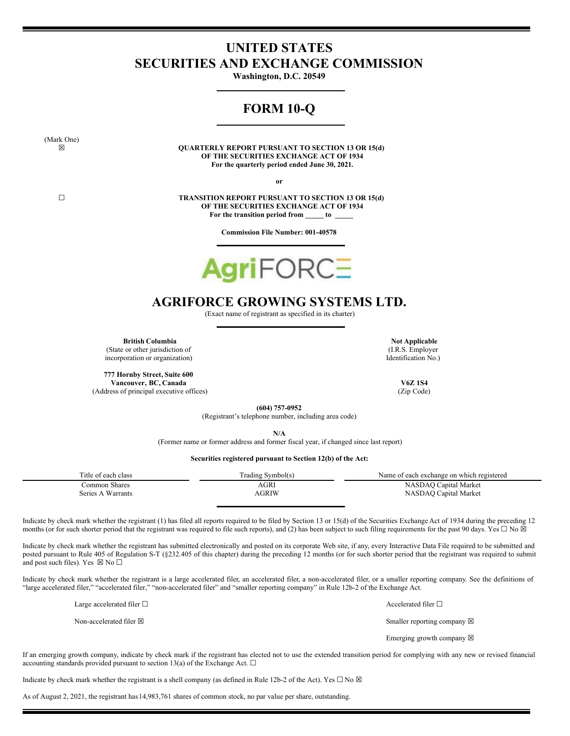# <span id="page-0-0"></span>**UNITED STATES SECURITIES AND EXCHANGE COMMISSION**

**Washington, D.C. 20549**

# **FORM 10-Q**

(Mark One)

**☒ QUARTERLY REPORT PURSUANT TO SECTION 13 OR 15(d) OF THE SECURITIES EXCHANGE ACT OF 1934 For the quarterly period ended June 30, 2021.**

**or**

**☐ TRANSITION REPORT PURSUANT TO SECTION 13 OR 15(d) OF THE SECURITIES EXCHANGE ACT OF 1934 For the transition period from \_\_\_\_\_ to \_\_\_\_\_**

**Commission File Number: 001-40578**



# **AGRIFORCE GROWING SYSTEMS LTD.**

(Exact name of registrant as specified in its charter)

**British Columbia Not Applicable Not Applicable** (State or other jurisdiction of incorporation or organization)

**777 Hornby Street, Suite 600 Vancouver, BC, Canada V6Z 1S4** (Address of principal executive offices) (Zip Code)

(I.R.S. Employer Identification No.)

**(604) 757-0952**

(Registrant's telephone number, including area code)

**N/A**

(Former name or former address and former fiscal year, if changed since last report)

# **Securities registered pursuant to Section 12(b) of the Act:**

| Title of each class | Trading Symbol(s) | Name of each exchange on which registered |
|---------------------|-------------------|-------------------------------------------|
| Common Shares       | AGRI              | NASDAQ Capital Market                     |
| Series A Warrants   | AGRIW             | NASDAQ Capital Market                     |

Indicate by check mark whether the registrant (1) has filed all reports required to be filed by Section 13 or 15(d) of the Securities Exchange Act of 1934 during the preceding 12 months (or for such shorter period that the registrant was required to file such reports), and (2) has been subject to such filing requirements for the past 90 days. Yes  $\Box$  No  $\boxtimes$ 

Indicate by check mark whether the registrant has submitted electronically and posted on its corporate Web site, if any, every Interactive Data File required to be submitted and posted pursuant to Rule 405 of Regulation S-T (§232.405 of this chapter) during the preceding 12 months (or for such shorter period that the registrant was required to submit and post such files). Yes  $\boxtimes$  No  $\square$ 

Indicate by check mark whether the registrant is a large accelerated filer, an accelerated filer, a non-accelerated filer, or a smaller reporting company. See the definitions of "large accelerated filer," "accelerated filer," "non-accelerated filer" and "smaller reporting company" in Rule 12b-2 of the Exchange Act.

Large accelerated filer  $□$  Accelerated filer  $□$ 

Non-accelerated filer ⊠ Smaller reporting company ⊠

Emerging growth company  $\boxtimes$ 

If an emerging growth company, indicate by check mark if the registrant has elected not to use the extended transition period for complying with any new or revised financial accounting standards provided pursuant to section 13(a) of the Exchange Act.  $\Box$ 

Indicate by check mark whether the registrant is a shell company (as defined in Rule 12b-2 of the Act). Yes  $\Box$  No  $\boxtimes$ 

As of August 2, 2021, the registrant has14,983,761 shares of common stock, no par value per share, outstanding.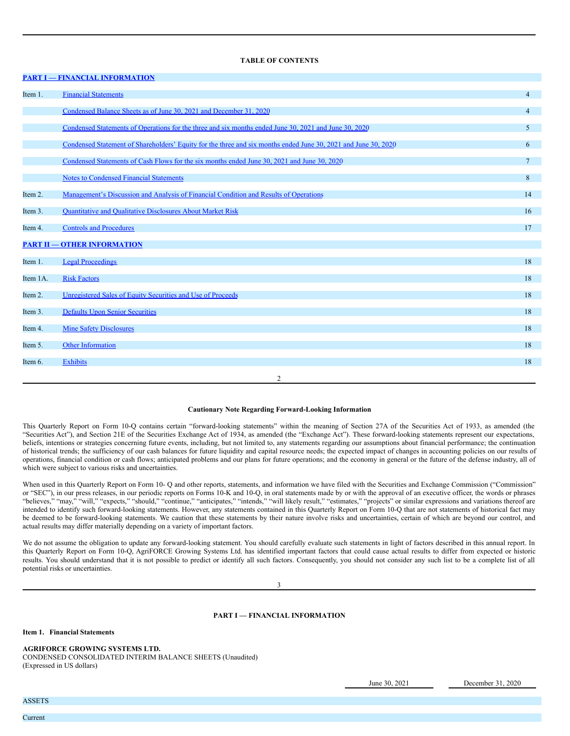## **TABLE OF CONTENTS**

|          | <b>PART I - FINANCIAL INFORMATION</b>                                                                          |                 |
|----------|----------------------------------------------------------------------------------------------------------------|-----------------|
| Item 1.  | <b>Financial Statements</b>                                                                                    | $\overline{4}$  |
|          | Condensed Balance Sheets as of June 30, 2021 and December 31, 2020                                             | $\overline{4}$  |
|          | Condensed Statements of Operations for the three and six months ended June 30, 2021 and June 30, 2020          | $5\overline{)}$ |
|          | Condensed Statement of Shareholders' Equity for the three and six months ended June 30, 2021 and June 30, 2020 | 6               |
|          | Condensed Statements of Cash Flows for the six months ended June 30, 2021 and June 30, 2020                    | $7\phantom{.0}$ |
|          | <b>Notes to Condensed Financial Statements</b>                                                                 | 8               |
| Item 2.  | Management's Discussion and Analysis of Financial Condition and Results of Operations                          | 14              |
| Item 3.  | <b>Quantitative and Qualitative Disclosures About Market Risk</b>                                              | 16              |
| Item 4.  | <b>Controls and Procedures</b>                                                                                 | 17              |
|          | <b>PART II - OTHER INFORMATION</b>                                                                             |                 |
| Item 1.  | <b>Legal Proceedings</b>                                                                                       | 18              |
| Item 1A. | <b>Risk Factors</b>                                                                                            | 18              |
| Item 2.  | Unregistered Sales of Equity Securities and Use of Proceeds                                                    | 18              |
| Item 3.  | <b>Defaults Upon Senior Securities</b>                                                                         | 18              |
| Item 4.  | <b>Mine Safety Disclosures</b>                                                                                 | 18              |
| Item 5.  | Other Information                                                                                              | 18              |
| Item 6.  | <b>Exhibits</b>                                                                                                | 18              |
|          | $\overline{c}$                                                                                                 |                 |
|          |                                                                                                                |                 |

# **Cautionary Note Regarding Forward-Looking Information**

This Quarterly Report on Form 10-Q contains certain "forward-looking statements" within the meaning of Section 27A of the Securities Act of 1933, as amended (the "Securities Act"), and Section 21E of the Securities Exchange Act of 1934, as amended (the "Exchange Act"). These forward-looking statements represent our expectations, beliefs, intentions or strategies concerning future events, including, but not limited to, any statements regarding our assumptions about financial performance; the continuation of historical trends; the sufficiency of our cash balances for future liquidity and capital resource needs; the expected impact of changes in accounting policies on our results of operations, financial condition or cash flows; anticipated problems and our plans for future operations; and the economy in general or the future of the defense industry, all of which were subject to various risks and uncertainties.

When used in this Quarterly Report on Form 10- Q and other reports, statements, and information we have filed with the Securities and Exchange Commission ("Commission" or "SEC"), in our press releases, in our periodic reports on Forms 10-K and 10-Q, in oral statements made by or with the approval of an executive officer, the words or phrases "believes," "may," "will," "expects," "should," "continue," "anticipates," "intends," "will likely result," "estimates," "projects" or similar expressions and variations thereof are intended to identify such forward-looking statements. However, any statements contained in this Quarterly Report on Form 10-Q that are not statements of historical fact may be deemed to be forward-looking statements. We caution that these statements by their nature involve risks and uncertainties, certain of which are beyond our control, and actual results may differ materially depending on a variety of important factors.

We do not assume the obligation to update any forward-looking statement. You should carefully evaluate such statements in light of factors described in this annual report. In this Quarterly Report on Form 10-Q, AgriFORCE Growing Systems Ltd. has identified important factors that could cause actual results to differ from expected or historic results. You should understand that it is not possible to predict or identify all such factors. Consequently, you should not consider any such list to be a complete list of all potential risks or uncertainties.

3

## **PART I — FINANCIAL INFORMATION**

**Item 1. Financial Statements**

**AGRIFORCE GROWING SYSTEMS LTD.**

CONDENSED CONSOLIDATED INTERIM BALANCE SHEETS (Unaudited) (Expressed in US dollars)

June 30, 2021 December 31, 2020

ASSETS Current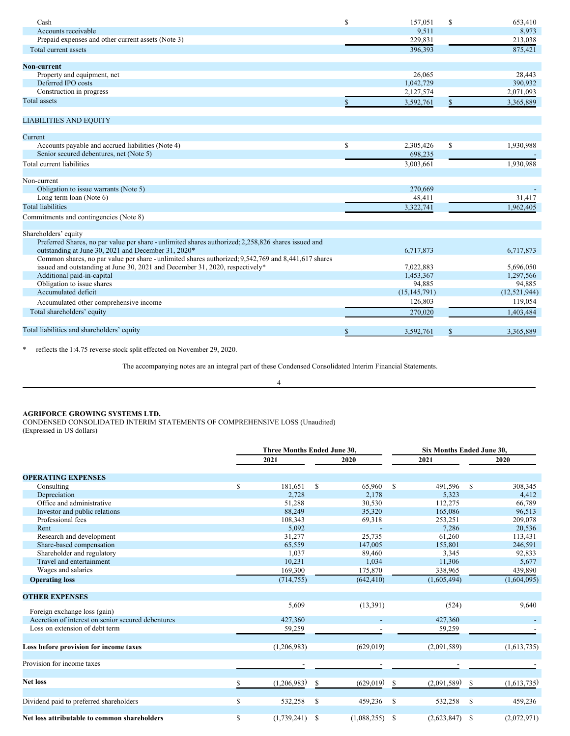| Cash                                                                                                | S  | 157,051        | <sup>\$</sup> | 653,410        |
|-----------------------------------------------------------------------------------------------------|----|----------------|---------------|----------------|
| Accounts receivable                                                                                 |    | 9,511          |               | 8,973          |
| Prepaid expenses and other current assets (Note 3)                                                  |    | 229,831        |               | 213,038        |
| Total current assets                                                                                |    | 396.393        |               | 875,421        |
| Non-current                                                                                         |    |                |               |                |
| Property and equipment, net                                                                         |    | 26,065         |               | 28,443         |
| Deferred IPO costs                                                                                  |    | 1,042,729      |               | 390,932        |
| Construction in progress                                                                            |    | 2,127,574      |               | 2,071,093      |
| Total assets                                                                                        |    | 3,592,761      | $\mathbb{S}$  | 3,365,889      |
| <b>LIABILITIES AND EQUITY</b>                                                                       |    |                |               |                |
| Current                                                                                             |    |                |               |                |
| Accounts payable and accrued liabilities (Note 4)                                                   | S  | 2,305,426      | $\mathbb{S}$  | 1,930,988      |
| Senior secured debentures, net (Note 5)                                                             |    | 698,235        |               |                |
| Total current liabilities                                                                           |    | 3,003,661      |               | 1,930,988      |
| Non-current                                                                                         |    |                |               |                |
| Obligation to issue warrants (Note 5)                                                               |    | 270,669        |               |                |
| Long term loan (Note 6)                                                                             |    | 48,411         |               | 31,417         |
| <b>Total liabilities</b>                                                                            |    | 3,322,741      |               | 1.962.405      |
| Commitments and contingencies (Note 8)                                                              |    |                |               |                |
| Shareholders' equity                                                                                |    |                |               |                |
| Preferred Shares, no par value per share - unlimited shares authorized; 2,258,826 shares issued and |    |                |               |                |
| outstanding at June 30, 2021 and December 31, 2020*                                                 |    | 6,717,873      |               | 6,717,873      |
| Common shares, no par value per share - unlimited shares authorized; 9,542,769 and 8,441,617 shares |    |                |               |                |
| issued and outstanding at June 30, 2021 and December 31, 2020, respectively*                        |    | 7,022,883      |               | 5,696,050      |
| Additional paid-in-capital                                                                          |    | 1,453,367      |               | 1,297,566      |
| Obligation to issue shares                                                                          |    | 94,885         |               | 94,885         |
| Accumulated deficit                                                                                 |    | (15, 145, 791) |               | (12, 521, 944) |
| Accumulated other comprehensive income                                                              |    | 126,803        |               | 119,054        |
| Total shareholders' equity                                                                          |    | 270,020        |               | 1,403,484      |
| Total liabilities and shareholders' equity                                                          | \$ | 3,592,761      | \$            | 3,365,889      |

\* reflects the 1:4.75 reverse stock split effected on November 29, 2020.

The accompanying notes are an integral part of these Condensed Consolidated Interim Financial Statements.

# 4

# **AGRIFORCE GROWING SYSTEMS LTD.**

CONDENSED CONSOLIDATED INTERIM STATEMENTS OF COMPREHENSIVE LOSS (Unaudited) (Expressed in US dollars)

|                                                    |     | Three Months Ended June 30, |   |             |              | <b>Six Months Ended June 30.</b> |      |             |  |  |
|----------------------------------------------------|-----|-----------------------------|---|-------------|--------------|----------------------------------|------|-------------|--|--|
|                                                    |     | 2021                        |   | 2020        |              | 2021                             |      | 2020        |  |  |
| <b>OPERATING EXPENSES</b>                          |     |                             |   |             |              |                                  |      |             |  |  |
| Consulting                                         | S   | 181,651                     | S | 65,960      | $\mathbb{S}$ | 491,596                          | -S   | 308,345     |  |  |
| Depreciation                                       |     | 2,728                       |   | 2,178       |              | 5,323                            |      | 4,412       |  |  |
| Office and administrative                          |     | 51,288                      |   | 30,530      |              | 112,275                          |      | 66,789      |  |  |
| Investor and public relations                      |     | 88,249                      |   | 35,320      |              | 165,086                          |      | 96,513      |  |  |
| Professional fees                                  |     | 108,343                     |   | 69,318      |              | 253,251                          |      | 209,078     |  |  |
| Rent                                               |     | 5,092                       |   |             |              | 7.286                            |      | 20,536      |  |  |
| Research and development                           |     | 31,277                      |   | 25,735      |              | 61,260                           |      | 113,431     |  |  |
| Share-based compensation                           |     | 65,559                      |   | 147,005     |              | 155,801                          |      | 246,591     |  |  |
| Shareholder and regulatory                         |     | 1,037                       |   | 89,460      |              | 3,345                            |      | 92,833      |  |  |
| Travel and entertainment                           |     | 10,231                      |   | 1,034       |              | 11,306                           |      | 5,677       |  |  |
| Wages and salaries                                 |     | 169,300                     |   | 175,870     |              | 338,965                          |      | 439,890     |  |  |
| <b>Operating loss</b>                              |     | (714, 755)                  |   | (642, 410)  |              | (1,605,494)                      |      | (1,604,095) |  |  |
| <b>OTHER EXPENSES</b>                              |     |                             |   |             |              |                                  |      |             |  |  |
| Foreign exchange loss (gain)                       |     | 5,609                       |   | (13,391)    |              | (524)                            |      | 9,640       |  |  |
| Accretion of interest on senior secured debentures |     | 427,360                     |   |             |              | 427,360                          |      |             |  |  |
| Loss on extension of debt term                     |     | 59,259                      |   |             |              | 59,259                           |      |             |  |  |
| Loss before provision for income taxes             |     | (1,206,983)                 |   | (629, 019)  |              | (2,091,589)                      |      | (1,613,735) |  |  |
| Provision for income taxes                         |     |                             |   |             |              |                                  |      |             |  |  |
| <b>Net loss</b>                                    | \$. | (1,206,983)                 | S | (629, 019)  | S            | (2,091,589)                      | S    | (1,613,735) |  |  |
| Dividend paid to preferred shareholders            | \$  | 532,258                     | S | 459,236     | -S           | 532,258                          | -S   | 459,236     |  |  |
| Net loss attributable to common shareholders       | S   | (1,739,241)                 | S | (1,088,255) | -S           | (2,623,847)                      | - \$ | (2,072,971) |  |  |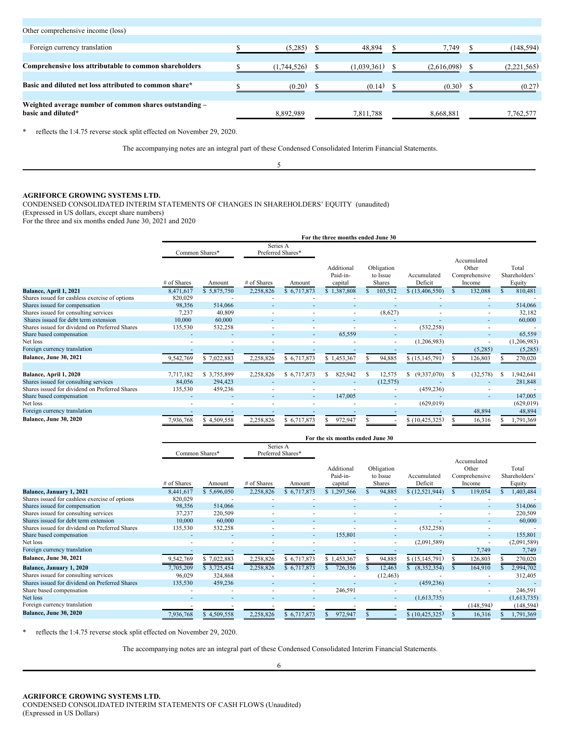| Other comprehensive income (loss)                      |             |             |             |             |
|--------------------------------------------------------|-------------|-------------|-------------|-------------|
|                                                        |             |             |             |             |
| Foreign currency translation                           | (5,285)     | 48.894      | 7,749       | (148,594)   |
|                                                        |             |             |             |             |
| Comprehensive loss attributable to common shareholders | (1.744.526) | (1.039.361) | (2.616.098) | (2.221.565) |
|                                                        |             |             |             |             |
| Basic and diluted net loss attributed to common share* | (0.20)      | (0.14)      | (0.30)      | (0.27)      |
|                                                        |             |             |             |             |
| Weighted average number of common shares outstanding - |             |             |             |             |
| basic and diluted*                                     | 8,892,989   | 7,811,788   | 8,668,881   | 7,762,577   |
|                                                        |             |             |             |             |

\* reflects the 1:4.75 reverse stock split effected on November 29, 2020.

The accompanying notes are an integral part of these Condensed Consolidated Interim Financial Statements.

5

# **AGRIFORCE GROWING SYSTEMS LTD.**

CONDENSED CONSOLIDATED INTERIM STATEMENTS OF CHANGES IN SHAREHOLDERS' EQUITY (unaudited)

(Expressed in US dollars, except share numbers)

For the three and six months ended June 30, 2021 and 2020

|                                                |             |                                                 |                          |             | For the three months ended June 30 |                                         |                        |                                                 |           |   |                                  |
|------------------------------------------------|-------------|-------------------------------------------------|--------------------------|-------------|------------------------------------|-----------------------------------------|------------------------|-------------------------------------------------|-----------|---|----------------------------------|
|                                                |             | Series A<br>Preferred Shares*<br>Common Shares* |                          |             |                                    |                                         |                        |                                                 |           |   |                                  |
|                                                | # of Shares | Amount                                          | # of Shares              | Amount      | Additional<br>Paid-in-<br>capital  | Obligation<br>to Issue<br><b>Shares</b> | Accumulated<br>Deficit | Accumulated<br>Other<br>Comprehensive<br>Income |           |   | Total<br>Shareholders'<br>Equity |
| Balance, April 1, 2021                         | 8,471,617   | \$5,875,750                                     | 2,258,826                | \$6,717,873 | \$1,387,808                        | 103,512                                 | \$(13,406,550)         |                                                 | 132,088   |   | 810,481                          |
| Shares issued for cashless exercise of options | 820,029     |                                                 |                          |             |                                    |                                         |                        |                                                 |           |   |                                  |
| Shares issued for compensation                 | 98,356      | 514,066                                         |                          |             |                                    |                                         |                        |                                                 |           |   | 514,066                          |
| Shares issued for consulting services          | 7,237       | 40,809                                          |                          |             |                                    | (8,627)                                 |                        |                                                 | ٠         |   | 32,182                           |
| Shares issued for debt term extension          | 10,000      | 60,000                                          |                          |             |                                    |                                         |                        |                                                 | ٠         |   | 60,000                           |
| Shares issued for dividend on Preferred Shares | 135,530     | 532,258                                         | $\overline{\phantom{a}}$ | ۰           |                                    | ۰.                                      | (532, 258)             |                                                 | ٠         |   |                                  |
| Share based compensation                       |             |                                                 |                          | ٠           | 65,559                             |                                         |                        |                                                 | ٠         |   | 65,559                           |
| Net loss                                       |             |                                                 |                          |             |                                    | ۰.                                      | (1,206,983)            |                                                 |           |   | (1,206,983)                      |
| Foreign currency translation                   |             |                                                 |                          |             |                                    |                                         |                        |                                                 | (5,285)   |   | (5,285)                          |
| Balance, June 30, 2021                         | 9,542,769   | \$7,022,883                                     | 2,258,826                | \$6,717,873 | \$1,453,367                        | 94,885                                  | \$(15, 145, 791)       |                                                 | 126,803   |   | 270,020                          |
| Balance, April 1, 2020                         | 7,717,182   | \$3,755,899                                     | 2,258,826                | \$6,717,873 | 825,942                            | 12,575                                  | (9,337,070)<br>S.      | S                                               | (32, 578) | S | 1,942,641                        |
| Shares issued for consulting services          | 84,056      | 294,423                                         |                          |             |                                    | (12, 575)                               |                        |                                                 |           |   | 281,848                          |
| Shares issued for dividend on Preferred Shares | 135,530     | 459,236                                         |                          |             |                                    | ٠                                       | (459, 236)             |                                                 | ٠         |   |                                  |
| Share based compensation                       |             |                                                 |                          | ٠           | 147,005                            |                                         |                        |                                                 |           |   | 147,005                          |
| Net loss                                       |             |                                                 |                          |             |                                    |                                         | (629, 019)             |                                                 |           |   | (629, 019)                       |
| Foreign currency translation                   |             |                                                 |                          |             |                                    |                                         |                        |                                                 | 48,894    |   | 48,894                           |
| Balance, June 30, 2020                         | 7,936,768   | \$4,509,558                                     | 2,258,826                | \$6,717,873 | 972,947                            |                                         | \$(10, 425, 325)       |                                                 | 16,316    |   | 1,791,369                        |

|                                                |                |              |                          |                               | For the six months ended June 30  |                                         |                        |                                                 |                                  |
|------------------------------------------------|----------------|--------------|--------------------------|-------------------------------|-----------------------------------|-----------------------------------------|------------------------|-------------------------------------------------|----------------------------------|
|                                                | Common Shares* |              |                          | Series A<br>Preferred Shares* |                                   |                                         |                        |                                                 |                                  |
|                                                | # of Shares    | Amount       | # of Shares              | Amount                        | Additional<br>Paid-in-<br>capital | Obligation<br>to Issue<br><b>Shares</b> | Accumulated<br>Deficit | Accumulated<br>Other<br>Comprehensive<br>Income | Total<br>Shareholders'<br>Equity |
| Balance, January 1, 2021                       | 8,441,617      | \$5,696,050  | 2,258,826                | \$6,717,873                   | \$1,297,566                       | 94,885                                  | \$(12,521,944)         | 119,054                                         | 1,403,484                        |
| Shares issued for cashless exercise of options | 820,029        |              |                          |                               |                                   |                                         |                        |                                                 |                                  |
| Shares issued for compensation                 | 98,356         | 514,066      |                          |                               |                                   |                                         |                        | ٠                                               | 514,066                          |
| Shares issued for consulting services          | 37,237         | 220,509      |                          |                               |                                   |                                         |                        | ٠                                               | 220,509                          |
| Shares issued for debt term extension          | 10,000         | 60,000       | $\overline{\phantom{a}}$ |                               |                                   |                                         |                        | ٠                                               | 60,000                           |
| Shares issued for dividend on Preferred Shares | 135,530        | 532,258      |                          |                               |                                   | ×.                                      | (532, 258)             | ۰                                               |                                  |
| Share based compensation                       |                |              |                          | ٠                             | 155,801                           | ۰                                       |                        | ٠                                               | 155,801                          |
| Net loss                                       |                |              |                          |                               |                                   | ۰                                       | (2,091,589)            | $\blacksquare$                                  | (2,091,589)                      |
| Foreign currency translation                   |                |              |                          |                               |                                   |                                         |                        | 7,749                                           | 7,749                            |
| Balance, June 30, 2021                         | 9,542,769      | \$7,022,883  | 2,258,826                | \$6,717,873                   | \$1,453,367                       | 94,885                                  | \$(15, 145, 791)       | 126,803                                         | 270,020                          |
| Balance, January 1, 2020                       | 7,705,209      | \$ 3,725,454 | 2,258,826                | \$6,717,873                   | 726,356                           | 12,463                                  | (8,352,354)            | 164,910                                         | 2,994,702                        |
| Shares issued for consulting services          | 96,029         | 324,868      |                          |                               |                                   | (12, 463)                               |                        |                                                 | 312,405                          |
| Shares issued for dividend on Preferred Shares | 135,530        | 459,236      |                          |                               |                                   |                                         | (459, 236)             |                                                 |                                  |
| Share based compensation                       |                |              |                          | ۰                             | 246,591                           |                                         |                        | $\overline{\phantom{a}}$                        | 246,591                          |
| Net loss                                       |                |              |                          |                               |                                   | ۰.                                      | (1,613,735)            |                                                 | (1,613,735)                      |
| Foreign currency translation                   |                |              |                          |                               |                                   |                                         |                        | (148, 594)                                      | (148, 594)                       |
| <b>Balance, June 30, 2020</b>                  | 7,936,768      | 4,509,558    | 2,258,826                | 6,717,873                     | 972,947                           |                                         | \$(10, 425, 325)       | 16,316                                          | 1,791,369                        |

\* reflects the 1:4.75 reverse stock split effected on November 29, 2020.

The accompanying notes are an integral part of these Condensed Consolidated Interim Financial Statements.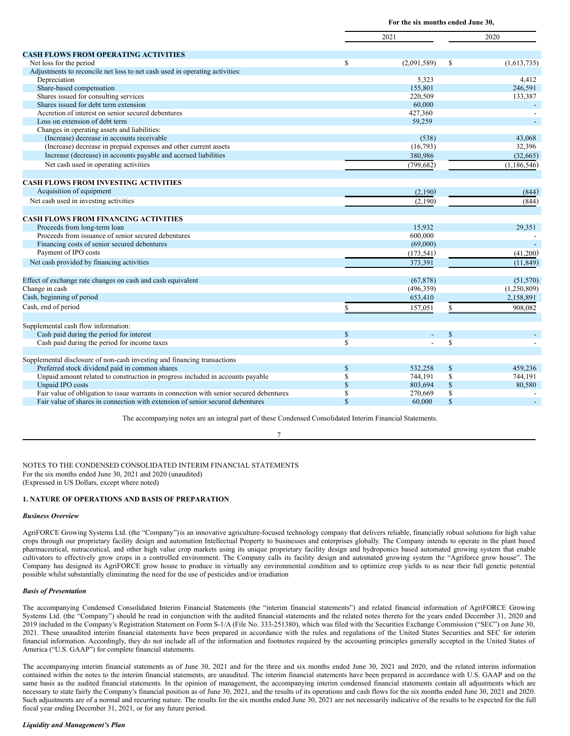**For the six months ended June 30,**

|                                                                                         |              | 2021               |              | 2020                 |  |  |
|-----------------------------------------------------------------------------------------|--------------|--------------------|--------------|----------------------|--|--|
|                                                                                         |              |                    |              |                      |  |  |
| <b>CASH FLOWS FROM OPERATING ACTIVITIES</b>                                             |              |                    |              |                      |  |  |
| Net loss for the period                                                                 | \$           | (2,091,589)        | \$           | (1,613,735)          |  |  |
| Adjustments to reconcile net loss to net cash used in operating activities:             |              |                    |              |                      |  |  |
| Depreciation                                                                            |              | 5,323              |              | 4,412                |  |  |
| Share-based compensation                                                                |              | 155,801            |              | 246,591              |  |  |
| Shares issued for consulting services                                                   |              | 220,509            |              | 133,387              |  |  |
| Shares issued for debt term extension                                                   |              | 60,000             |              |                      |  |  |
| Accretion of interest on senior secured debentures                                      |              | 427,360            |              |                      |  |  |
| Loss on extension of debt term                                                          |              | 59,259             |              |                      |  |  |
| Changes in operating assets and liabilities:                                            |              |                    |              |                      |  |  |
| (Increase) decrease in accounts receivable                                              |              | (538)              |              | 43,068               |  |  |
| (Increase) decrease in prepaid expenses and other current assets                        |              | (16,793)           |              | 32,396               |  |  |
| Increase (decrease) in accounts payable and accrued liabilities                         |              | 380,986            |              | (32,665)             |  |  |
| Net cash used in operating activities                                                   |              | (799, 682)         |              | (1, 186, 546)        |  |  |
| <b>CASH FLOWS FROM INVESTING ACTIVITIES</b>                                             |              |                    |              |                      |  |  |
| Acquisition of equipment                                                                |              | (2,190)            |              |                      |  |  |
|                                                                                         |              |                    |              | (844)                |  |  |
| Net cash used in investing activities                                                   |              | (2,190)            |              | (844)                |  |  |
| <b>CASH FLOWS FROM FINANCING ACTIVITIES</b>                                             |              |                    |              |                      |  |  |
| Proceeds from long-term loan                                                            |              | 15,932             |              | 29,351               |  |  |
| Proceeds from issuance of senior secured debentures                                     |              | 600,000            |              |                      |  |  |
| Financing costs of senior secured debentures                                            |              | (69,000)           |              |                      |  |  |
| Payment of IPO costs                                                                    |              | (173, 541)         |              | (41,200)             |  |  |
| Net cash provided by financing activities                                               |              | 373,391            |              | (11, 849)            |  |  |
| Effect of exchange rate changes on cash and cash equivalent                             |              | (67, 878)          |              | (51, 570)            |  |  |
| Change in cash                                                                          |              | (496, 359)         |              | (1,250,809)          |  |  |
| Cash, beginning of period                                                               |              |                    |              |                      |  |  |
| Cash, end of period                                                                     |              | 653,410<br>157,051 |              | 2,158,891<br>908,082 |  |  |
|                                                                                         | \$           |                    | \$           |                      |  |  |
| Supplemental cash flow information:                                                     |              |                    |              |                      |  |  |
| Cash paid during the period for interest                                                | $\mathbb{S}$ |                    | $\mathbb{S}$ |                      |  |  |
| Cash paid during the period for income taxes                                            | S            |                    | $\mathbb{S}$ |                      |  |  |
| Supplemental disclosure of non-cash investing and financing transactions                |              |                    |              |                      |  |  |
| Preferred stock dividend paid in common shares                                          | \$           | 532,258            | $\mathbb{S}$ | 459.236              |  |  |
| Unpaid amount related to construction in progress included in accounts payable          | S            | 744,191            | \$           | 744,191              |  |  |
| Unpaid IPO costs                                                                        | $\mathbb{S}$ | 803,694            | $\$$         | 80,580               |  |  |
| Fair value of obligation to issue warrants in connection with senior secured debentures | S            | 270,669            | \$           |                      |  |  |
| Fair value of shares in connection with extension of senior secured debentures          | $\mathbf S$  | 60,000             | $\mathbb{S}$ |                      |  |  |

The accompanying notes are an integral part of these Condensed Consolidated Interim Financial Statements.

7

NOTES TO THE CONDENSED CONSOLIDATED INTERIM FINANCIAL STATEMENTS For the six months ended June 30, 2021 and 2020 (unaudited) (Expressed in US Dollars, except where noted)

## **1. NATURE OF OPERATIONS AND BASIS OF PREPARATION**

## *Business Overview*

AgriFORCE Growing Systems Ltd. (the "Company")is an innovative agriculture-focused technology company that delivers reliable, financially robust solutions for high value crops through our proprietary facility design and automation Intellectual Property to businesses and enterprises globally. The Company intends to operate in the plant based pharmaceutical, nutraceutical, and other high value crop markets using its unique proprietary facility design and hydroponics based automated growing system that enable cultivators to effectively grow crops in a controlled environment. The Company calls its facility design and automated growing system the "Agriforce grow house". The Company has designed its AgriFORCE grow house to produce in virtually any environmental condition and to optimize crop yields to as near their full genetic potential possible whilst substantially eliminating the need for the use of pesticides and/or irradiation

## *Basis of Presentation*

The accompanying Condensed Consolidated Interim Financial Statements (the "interim financial statements") and related financial information of AgriFORCE Growing Systems Ltd. (the "Company") should be read in conjunction with the audited financial statements and the related notes thereto for the years ended December 31, 2020 and 2019 included in the Company's Registration Statement on Form S-1/A (File No. 333-251380), which was filed with the Securities Exchange Commission ("SEC") on June 30, 2021. These unaudited interim financial statements have been prepared in accordance with the rules and regulations of the United States Securities and SEC for interim financial information. Accordingly, they do not include all of the information and footnotes required by the accounting principles generally accepted in the United States of America ("U.S. GAAP") for complete financial statements.

The accompanying interim financial statements as of June 30, 2021 and for the three and six months ended June 30, 2021 and 2020, and the related interim information contained within the notes to the interim financial statements, are unaudited. The interim financial statements have been prepared in accordance with U.S. GAAP and on the same basis as the audited financial statements. In the opinion of management, the accompanying interim condensed financial statements contain all adjustments which are necessary to state fairly the Company's financial position as of June 30, 2021, and the results of its operations and cash flows for the six months ended June 30, 2021 and 2020. Such adjustments are of a normal and recurring nature. The results for the six months ended June 30, 2021 are not necessarily indicative of the results to be expected for the full fiscal year ending December 31, 2021, or for any future period.

#### *Liquidity and Management's Plan*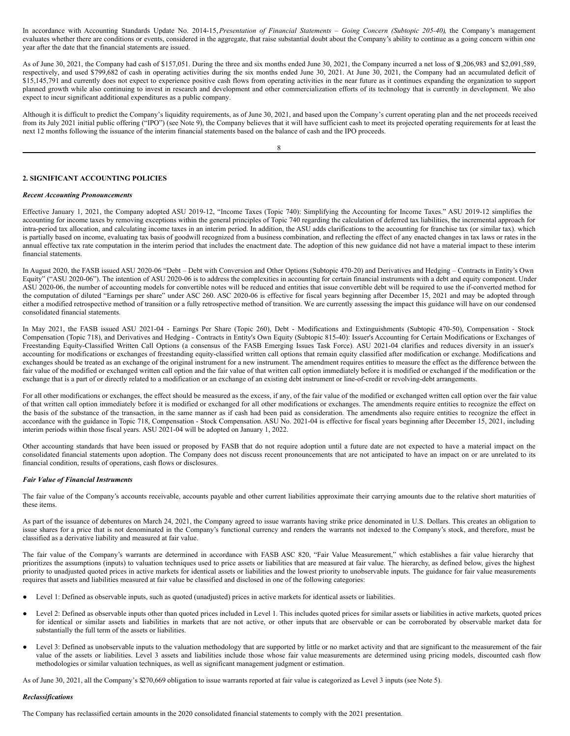In accordance with Accounting Standards Update No. 2014-15,*Presentation of Financial Statements – Going Concern (Subtopic 205-40)*, the Company's management evaluates whether there are conditions or events, considered in the aggregate, that raise substantial doubt about the Company's ability to continue as a going concern within one year after the date that the financial statements are issued.

As of June 30, 2021, the Company had cash of \$157,051. During the three and six months ended June 30, 2021, the Company incurred a net loss of \$1,206,983 and \$2,091,589, respectively, and used \$799,682 of cash in operating activities during the six months ended June 30, 2021. At June 30, 2021, the Company had an accumulated deficit of \$15,145,791 and currently does not expect to experience positive cash flows from operating activities in the near future as it continues expanding the organization to support planned growth while also continuing to invest in research and development and other commercialization efforts of its technology that is currently in development. We also expect to incur significant additional expenditures as a public company.

Although it is difficult to predict the Company's liquidity requirements, as of June 30, 2021, and based upon the Company's current operating plan and the net proceeds received from its July 2021 initial public offering ("IPO") (see Note 9), the Company believes that it will have sufficient cash to meet its projected operating requirements for at least the next 12 months following the issuance of the interim financial statements based on the balance of cash and the IPO proceeds.

8

## **2. SIGNIFICANT ACCOUNTING POLICIES**

#### *Recent Accounting Pronouncements*

Effective January 1, 2021, the Company adopted ASU 2019-12, "Income Taxes (Topic 740): Simplifying the Accounting for Income Taxes." ASU 2019-12 simplifies the accounting for income taxes by removing exceptions within the general principles of Topic 740 regarding the calculation of deferred tax liabilities, the incremental approach for intra-period tax allocation, and calculating income taxes in an interim period. In addition, the ASU adds clarifications to the accounting for franchise tax (or similar tax). which is partially based on income, evaluating tax basis of goodwill recognized from a business combination, and reflecting the effect of any enacted changes in tax laws or rates in the annual effective tax rate computation in the interim period that includes the enactment date. The adoption of this new guidance did not have a material impact to these interim financial statements.

In August 2020, the FASB issued ASU 2020-06 "Debt – Debt with Conversion and Other Options (Subtopic 470-20) and Derivatives and Hedging – Contracts in Entity's Own Equity" ("ASU 2020-06"). The intention of ASU 2020-06 is to address the complexities in accounting for certain financial instruments with a debt and equity component. Under ASU 2020-06, the number of accounting models for convertible notes will be reduced and entities that issue convertible debt will be required to use the if-converted method for the computation of diluted "Earnings per share" under ASC 260. ASC 2020-06 is effective for fiscal years beginning after December 15, 2021 and may be adopted through either a modified retrospective method of transition or a fully retrospective method of transition. We are currently assessing the impact this guidance will have on our condensed consolidated financial statements.

In May 2021, the FASB issued ASU 2021-04 - Earnings Per Share (Topic 260), Debt - Modifications and Extinguishments (Subtopic 470-50), Compensation - Stock Compensation (Topic 718), and Derivatives and Hedging - Contracts in Entity's Own Equity (Subtopic 815-40): Issuer's Accounting for Certain Modifications or Exchanges of Freestanding Equity-Classified Written Call Options (a consensus of the FASB Emerging Issues Task Force). ASU 2021-04 clarifies and reduces diversity in an issuer's accounting for modifications or exchanges of freestanding equity-classified written call options that remain equity classified after modification or exchange. Modifications and exchanges should be treated as an exchange of the original instrument for a new instrument. The amendment requires entities to measure the effect as the difference between the fair value of the modified or exchanged written call option and the fair value of that written call option immediately before it is modified or exchanged if the modification or the exchange that is a part of or directly related to a modification or an exchange of an existing debt instrument or line-of-credit or revolving-debt arrangements.

For all other modifications or exchanges, the effect should be measured as the excess, if any, of the fair value of the modified or exchanged written call option over the fair value of that written call option immediately before it is modified or exchanged for all other modifications or exchanges. The amendments require entities to recognize the effect on the basis of the substance of the transaction, in the same manner as if cash had been paid as consideration. The amendments also require entities to recognize the effect in accordance with the guidance in Topic 718, Compensation - Stock Compensation. ASU No. 2021-04 is effective for fiscal years beginning after December 15, 2021, including interim periods within those fiscal years. ASU 2021-04 will be adopted on January 1, 2022.

Other accounting standards that have been issued or proposed by FASB that do not require adoption until a future date are not expected to have a material impact on the consolidated financial statements upon adoption. The Company does not discuss recent pronouncements that are not anticipated to have an impact on or are unrelated to its financial condition, results of operations, cash flows or disclosures.

#### *Fair Value of Financial Instruments*

The fair value of the Company's accounts receivable, accounts payable and other current liabilities approximate their carrying amounts due to the relative short maturities of these items.

As part of the issuance of debentures on March 24, 2021, the Company agreed to issue warrants having strike price denominated in U.S. Dollars. This creates an obligation to issue shares for a price that is not denominated in the Company's functional currency and renders the warrants not indexed to the Company's stock, and therefore, must be classified as a derivative liability and measured at fair value.

The fair value of the Company's warrants are determined in accordance with FASB ASC 820, "Fair Value Measurement," which establishes a fair value hierarchy that prioritizes the assumptions (inputs) to valuation techniques used to price assets or liabilities that are measured at fair value. The hierarchy, as defined below, gives the highest priority to unadjusted quoted prices in active markets for identical assets or liabilities and the lowest priority to unobservable inputs. The guidance for fair value measurements requires that assets and liabilities measured at fair value be classified and disclosed in one of the following categories:

- Level 1: Defined as observable inputs, such as quoted (unadjusted) prices in active markets for identical assets or liabilities.
- Level 2: Defined as observable inputs other than quoted prices included in Level 1. This includes quoted prices for similar assets or liabilities in active markets, quoted prices for identical or similar assets and liabilities in markets that are not active, or other inputs that are observable or can be corroborated by observable market data for substantially the full term of the assets or liabilities.
- Level 3: Defined as unobservable inputs to the valuation methodology that are supported by little or no market activity and that are significant to the measurement of the fair value of the assets or liabilities. Level 3 assets and liabilities include those whose fair value measurements are determined using pricing models, discounted cash flow methodologies or similar valuation techniques, as well as significant management judgment or estimation.

As of June 30, 2021, all the Company's \$270,669 obligation to issue warrants reported at fair value is categorized as Level 3 inputs (see Note 5).

#### *Reclassifications*

The Company has reclassified certain amounts in the 2020 consolidated financial statements to comply with the 2021 presentation.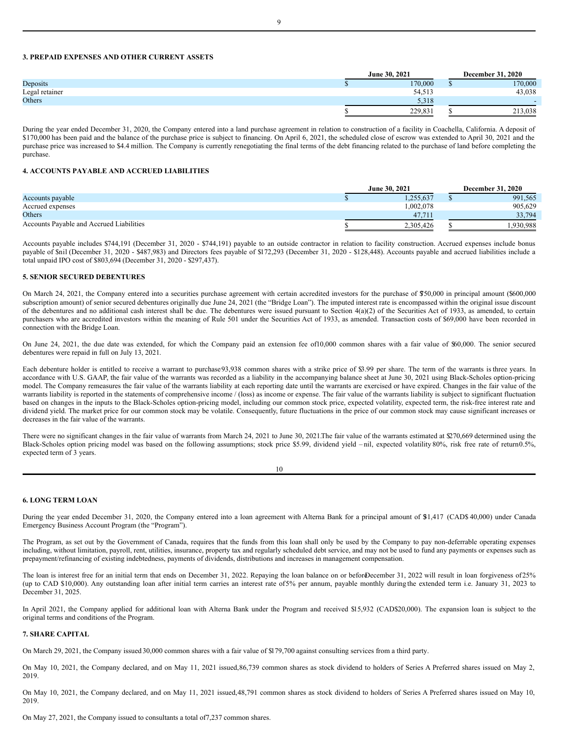## **3. PREPAID EXPENSES AND OTHER CURRENT ASSETS**

|                | June 30, 2021 | <b>December 31, 2020</b> |
|----------------|---------------|--------------------------|
| Deposits       | 170,000       | 170,000                  |
| Legal retainer | 54,513        | 43,038                   |
| Others         | 5.318         |                          |
|                | 229.83        | 213,038                  |

During the year ended December 31, 2020, the Company entered into a land purchase agreement in relation to construction of a facility in Coachella, California. A deposit of \$170,000 has been paid and the balance of the purchase price is subject to financing. On April 6, 2021, the scheduled close of escrow was extended to April 30, 2021 and the purchase price was increased to \$4.4 million. The Company is currently renegotiating the final terms of the debt financing related to the purchase of land before completing the purchase.

#### **4. ACCOUNTS PAYABLE AND ACCRUED LIABILITIES**

|                                          |  | June 30, 2021 | <b>December 31, 2020</b> |
|------------------------------------------|--|---------------|--------------------------|
| Accounts payable                         |  | .255.637      | 991.565                  |
| Accrued expenses                         |  | .002.078      | 905.629                  |
| Others                                   |  |               | 33,794                   |
| Accounts Pavable and Accrued Liabilities |  | 2.305.426     | 1.930.988                |

Accounts payable includes \$744,191 (December 31, 2020 - \$744,191) payable to an outside contractor in relation to facility construction. Accrued expenses include bonus payable of \$nil (December 31, 2020 - \$487,983) and Directors fees payable of \$172,293 (December 31, 2020 - \$128,448). Accounts payable and accrued liabilities include a total unpaid IPO cost of \$803,694 (December 31, 2020 - \$297,437).

## **5. SENIOR SECURED DEBENTURES**

On March 24, 2021, the Company entered into a securities purchase agreement with certain accredited investors for the purchase of \$750,000 in principal amount (\$600,000 subscription amount) of senior secured debentures originally due June 24, 2021 (the "Bridge Loan"). The imputed interest rate is encompassed within the original issue discount of the debentures and no additional cash interest shall be due. The debentures were issued pursuant to Section  $4(a)(2)$  of the Securities Act of 1933, as amended, to certain purchasers who are accredited investors within the meaning of Rule 501 under the Securities Act of 1933, as amended. Transaction costs of \$69,000 have been recorded in connection with the Bridge Loan.

On June 24, 2021, the due date was extended, for which the Company paid an extension fee of10,000 common shares with a fair value of \$60,000. The senior secured debentures were repaid in full on July 13, 2021.

Each debenture holder is entitled to receive a warrant to purchase 93,938 common shares with a strike price of \$3.99 per share. The term of the warrants is three years. In accordance with U.S. GAAP, the fair value of the warrants was recorded as a liability in the accompanying balance sheet at June 30, 2021 using Black-Scholes option-pricing model. The Company remeasures the fair value of the warrants liability at each reporting date until the warrants are exercised or have expired. Changes in the fair value of the warrants liability is reported in the statements of comprehensive income / (loss) as income or expense. The fair value of the warrants liability is subject to significant fluctuation based on changes in the inputs to the Black-Scholes option-pricing model, including our common stock price, expected volatility, expected term, the risk-free interest rate and dividend yield. The market price for our common stock may be volatile. Consequently, future fluctuations in the price of our common stock may cause significant increases or decreases in the fair value of the warrants.

There were no significant changes in the fair value of warrants from March 24, 2021 to June 30, 2021. The fair value of the warrants estimated at \$270,669 determined using the Black-Scholes option pricing model was based on the following assumptions; stock price \$5.99, dividend yield – nil, expected volatility 80%, risk free rate of return0.5%, expected term of 3 years.

|  | ٦       |  |
|--|---------|--|
|  | ۰.<br>× |  |

## **6. LONG TERM LOAN**

During the year ended December 31, 2020, the Company entered into a loan agreement with Alterna Bank for a principal amount of \$31,417 (CAD\$ 40,000) under Canada Emergency Business Account Program (the "Program").

The Program, as set out by the Government of Canada, requires that the funds from this loan shall only be used by the Company to pay non-deferrable operating expenses including, without limitation, payroll, rent, utilities, insurance, property tax and regularly scheduled debt service, and may not be used to fund any payments or expenses such as prepayment/refinancing of existing indebtedness, payments of dividends, distributions and increases in management compensation.

The loan is interest free for an initial term that ends on December 31, 2022. Repaying the loan balance on or beforeDecember 31, 2022 will result in loan forgiveness of 25% (up to CAD \$10,000). Any outstanding loan after initial term carries an interest rate of5% per annum, payable monthly during the extended term i.e. January 31, 2023 to December 31, 2025.

In April 2021, the Company applied for additional loan with Alterna Bank under the Program and received \$15,932 (CAD\$20,000). The expansion loan is subject to the original terms and conditions of the Program.

## **7. SHARE CAPITAL**

On March 29, 2021, the Company issued 30,000 common shares with a fair value of \$179,700 against consulting services from a third party.

On May 10, 2021, the Company declared, and on May 11, 2021 issued,86,739 common shares as stock dividend to holders of Series A Preferred shares issued on May 2, 2019.

On May 10, 2021, the Company declared, and on May 11, 2021 issued,48,791 common shares as stock dividend to holders of Series A Preferred shares issued on May 10, 2019.

On May 27, 2021, the Company issued to consultants a total of7,237 common shares.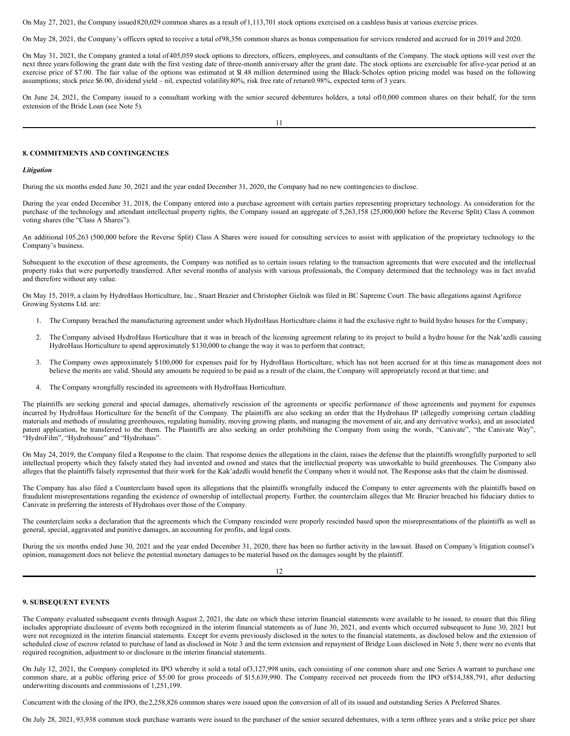On May 27, 2021, the Company issued820,029 common shares as a result of1,113,701 stock options exercised on a cashless basis at various exercise prices.

On May 28, 2021, the Company's officers opted to receive a total of98,356 common shares as bonus compensation for services rendered and accrued for in 2019 and 2020.

On May 31, 2021, the Company granted a total of405,059 stock options to directors, officers, employees, and consultants of the Company. The stock options will vest over the next three years following the grant date with the first vesting date of three-month anniversary after the grant date. The stock options are exercisable for afive-year period at an exercise price of \$7.00. The fair value of the options was estimated at \$1.48 million determined using the Black-Scholes option pricing model was based on the following assumptions; stock price \$6.00, dividend yield - nil, expected volatility 80%, risk free rate of return0.98%, expected term of 3 years.

On June 24, 2021, the Company issued to a consultant working with the senior secured debentures holders, a total of10,000 common shares on their behalf, for the term extension of the Bride Loan (see Note 5).

#### **8. COMMITMENTS AND CONTINGENCIES**

#### *Litigation*

During the six months ended June 30, 2021 and the year ended December 31, 2020, the Company had no new contingencies to disclose.

During the year ended December 31, 2018, the Company entered into a purchase agreement with certain parties representing proprietary technology. As consideration for the purchase of the technology and attendant intellectual property rights, the Company issued an aggregate of 5,263,158 (25,000,000 before the Reverse Split) Class A common voting shares (the "Class A Shares").

An additional 105,263 (500,000 before the Reverse Split) Class A Shares were issued for consulting services to assist with application of the proprietary technology to the Company's business.

Subsequent to the execution of these agreements, the Company was notified as to certain issues relating to the transaction agreements that were executed and the intellectual property risks that were purportedly transferred. After several months of analysis with various professionals, the Company determined that the technology was in fact invalid and therefore without any value.

On May 15, 2019, a claim by HydroHaus Horticulture, Inc., Stuart Brazier and Christopher Gielnik was filed in BC Supreme Court. The basic allegations against Agriforce Growing Systems Ltd. are:

- 1. The Company breached the manufacturing agreement under which HydroHaus Horticulture claims it had the exclusive right to build hydro houses for the Company;
- 2. The Company advised HydroHaus Horticulture that it was in breach of the licensing agreement relating to its project to build a hydro house for the Nak'azdli causing HydroHaus Horticulture to spend approximately \$130,000 to change the way it was to perform that contract;
- 3. The Company owes approximately \$100,000 for expenses paid for by HydroHaus Horticulture, which has not been accrued for at this time as management does not believe the merits are valid. Should any amounts be required to be paid as a result of the claim, the Company will appropriately record at that time; and
- 4. The Company wrongfully rescinded its agreements with HydroHaus Horticulture.

The plaintiffs are seeking general and special damages, alternatively rescission of the agreements or specific performance of those agreements and payment for expenses incurred by HydroHaus Horticulture for the benefit of the Company. The plaintiffs are also seeking an order that the Hydrohaus IP (allegedly comprising certain cladding materials and methods of insulating greenhouses, regulating humidity, moving growing plants, and managing the movement of air, and any derivative works), and an associated patent application, be transferred to the them. The Plaintiffs are also seeking an order prohibiting the Company from using the words, "Canivate", "the Canivate Way", "HydroFilm", "Hydrohouse" and "Hydrohaus".

On May 24, 2019, the Company filed a Response to the claim. That response denies the allegations in the claim, raises the defense that the plaintiffs wrongfully purported to sell intellectual property which they falsely stated they had invented and owned and states that the intellectual property was unworkable to build greenhouses. The Company also alleges that the plaintiffs falsely represented that their work for the Kak'adzdli would benefit the Company when it would not. The Response asks that the claim be dismissed.

The Company has also filed a Counterclaim based upon its allegations that the plaintiffs wrongfully induced the Company to enter agreements with the plaintiffs based on fraudulent misrepresentations regarding the existence of ownership of intellectual property. Further, the counterclaim alleges that Mr. Brazier breached his fiduciary duties to Canivate in preferring the interests of Hydrohaus over those of the Company.

The counterclaim seeks a declaration that the agreements which the Company rescinded were properly rescinded based upon the misrepresentations of the plaintiffs as well as general, special, aggravated and punitive damages, an accounting for profits, and legal costs.

During the six months ended June 30, 2021 and the year ended December 31, 2020, there has been no further activity in the lawsuit. Based on Company's litigation counsel's opinion, management does not believe the potential monetary damages to be material based on the damages sought by the plaintiff.

# 12

## **9. SUBSEQUENT EVENTS**

The Company evaluated subsequent events through August 2, 2021, the date on which these interim financial statements were available to be issued, to ensure that this filing includes appropriate disclosure of events both recognized in the interim financial statements as of June 30, 2021, and events which occurred subsequent to June 30, 2021 but were not recognized in the interim financial statements. Except for events previously disclosed in the notes to the financial statements, as disclosed below and the extension of scheduled close of escrow related to purchase of land as disclosed in Note 3 and the term extension and repayment of Bridge Loan disclosed in Note 5, there were no events that required recognition, adjustment to or disclosure in the interim financial statements.

On July 12, 2021, the Company completed its IPO whereby it sold a total of3,127,998 units, each consisting of one common share and one Series A warrant to purchase one common share, at a public offering price of \$5.00 for gross proceeds of \$15,639,990. The Company received net proceeds from the IPO of\$14,388,791, after deducting underwriting discounts and commissions of 1,251,199.

Concurrent with the closing of the IPO, the2,258,826 common shares were issued upon the conversion of all of its issued and outstanding Series A Preferred Shares.

On July 28, 2021, 93,938 common stock purchase warrants were issued to the purchaser of the senior secured debentures, with a term ofthree years and a strike price per share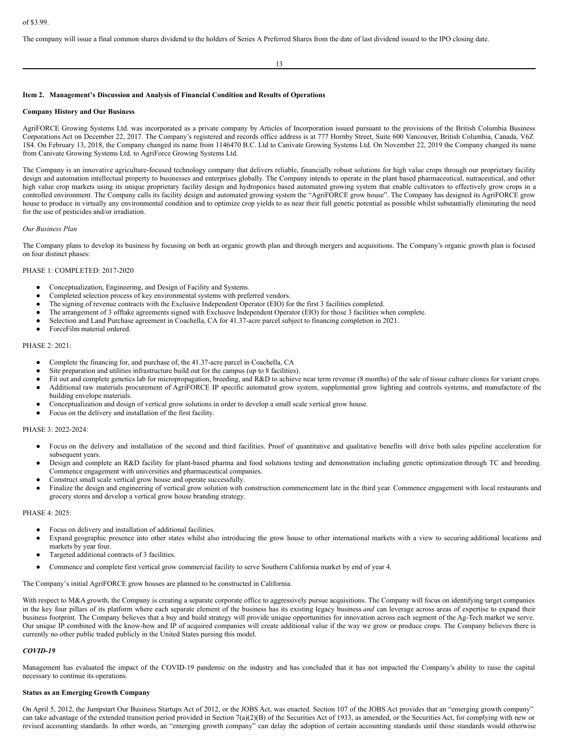The company will issue a final common shares dividend to the holders of Series A Preferred Shares from the date of last dividend issued to the IPO closing date.

#### 13

### **Item 2. Management's Discussion and Analysis of Financial Condition and Results of Operations**

#### **Company History and Our Business**

AgriFORCE Growing Systems Ltd. was incorporated as a private company by Articles of Incorporation issued pursuant to the provisions of the British Columbia Business Corporations Act on December 22, 2017. The Company's registered and records office address is at 777 Hornby Street, Suite 600 Vancouver, British Columbia, Canada, V6Z 1S4. On February 13, 2018, the Company changed its name from 1146470 B.C. Ltd to Canivate Growing Systems Ltd. On November 22, 2019 the Company changed its name from Canivate Growing Systems Ltd. to AgriForce Growing Systems Ltd.

The Company is an innovative agriculture-focused technology company that delivers reliable, financially robust solutions for high value crops through our proprietary facility design and automation intellectual property to businesses and enterprises globally. The Company intends to operate in the plant based pharmaceutical, nutraceutical, and other high value crop markets using its unique proprietary facility design and hydroponics based automated growing system that enable cultivators to effectively grow crops in a controlled environment. The Company calls its facility design and automated growing system the "AgriFORCE grow house". The Company has designed its AgriFORCE grow house to produce in virtually any environmental condition and to optimize crop yields to as near their full genetic potential as possible whilst substantially eliminating the need for the use of pesticides and/or irradiation.

## *Our Business Plan*

The Company plans to develop its business by focusing on both an organic growth plan and through mergers and acquisitions. The Company's organic growth plan is focused on four distinct phases:

# PHASE 1: COMPLETED: 2017-2020

- Conceptualization, Engineering, and Design of Facility and Systems.
- Completed selection process of key environmental systems with preferred vendors.
- The signing of revenue contracts with the Exclusive Independent Operator (EIO) for the first 3 facilities completed.
- The arrangement of 3 offtake agreements signed with Exclusive Independent Operator (EIO) for those 3 facilities when complete.
- Selection and Land Purchase agreement in Coachella, CA for 41.37-acre parcel subject to financing completion in 2021.
- ForceFilm material ordered.

# PHASE 2: 2021:

- Complete the financing for, and purchase of, the 41.37-acre parcel in Coachella, CA
- Site preparation and utilities infrastructure build out for the campus (up to 8 facilities).
- Fit out and complete genetics lab for micropropagation, breeding, and R&D to achieve near term revenue (8 months) of the sale of tissue culture clones for variant crops. Additional raw materials procurement of AgriFORCE IP specific automated grow system, supplemental grow lighting and controls systems, and manufacture of the building envelope materials.
- Conceptualization and design of vertical grow solutions in order to develop a small scale vertical grow house.
- Focus on the delivery and installation of the first facility.

### PHASE 3: 2022-2024:

- Focus on the delivery and installation of the second and third facilities. Proof of quantitative and qualitative benefits will drive both sales pipeline acceleration for subsequent years.
- Design and complete an R&D facility for plant-based pharma and food solutions testing and demonstration including genetic optimization through TC and breeding. Commence engagement with universities and pharmaceutical companies.
- Construct small scale vertical grow house and operate successfully.
- Finalize the design and engineering of vertical grow solution with construction commencement late in the third year. Commence engagement with local restaurants and grocery stores and develop a vertical grow house branding strategy.

## PHASE 4: 2025:

- Focus on delivery and installation of additional facilities.
- Expand geographic presence into other states whilst also introducing the grow house to other international markets with a view to securing additional locations and markets by year four.
- Targeted additional contracts of 3 facilities.
- Commence and complete first vertical grow commercial facility to serve Southern California market by end of year 4.

The Company's initial AgriFORCE grow houses are planned to be constructed in California.

With respect to M&A growth, the Company is creating a separate corporate office to aggressively pursue acquisitions. The Company will focus on identifying target companies in the key four pillars of its platform where each separate element of the business has its existing legacy business *and* can leverage across areas of expertise to expand their business footprint. The Company believes that a buy and build strategy will provide unique opportunities for innovation across each segment of the Ag-Tech market we serve. Our unique IP combined with the know-how and IP of acquired companies will create additional value if the way we grow or produce crops. The Company believes there is currently no other public traded publicly in the United States pursing this model.

#### *COVID-19*

Management has evaluated the impact of the COVID-19 pandemic on the industry and has concluded that it has not impacted the Company's ability to raise the capital necessary to continue its operations.

### **Status as an Emerging Growth Company**

On April 5, 2012, the Jumpstart Our Business Startups Act of 2012, or the JOBS Act, was enacted. Section 107 of the JOBS Act provides that an "emerging growth company" can take advantage of the extended transition period provided in Section 7(a)(2)(B) of the Securities Act of 1933, as amended, or the Securities Act, for complying with new or revised accounting standards. In other words, an "emerging growth company" can delay the adoption of certain accounting standards until those standards would otherwise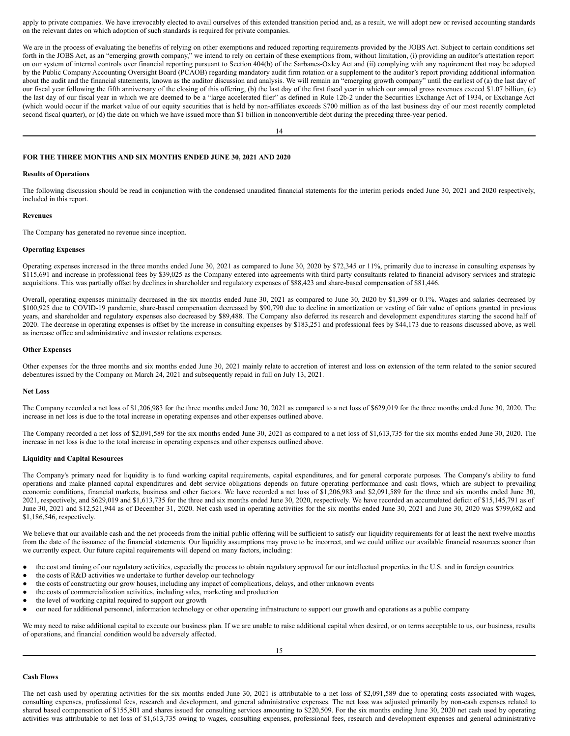apply to private companies. We have irrevocably elected to avail ourselves of this extended transition period and, as a result, we will adopt new or revised accounting standards on the relevant dates on which adoption of such standards is required for private companies.

We are in the process of evaluating the benefits of relying on other exemptions and reduced reporting requirements provided by the JOBS Act. Subject to certain conditions set forth in the JOBS Act, as an "emerging growth company," we intend to rely on certain of these exemptions from, without limitation, (i) providing an auditor's attestation report on our system of internal controls over financial reporting pursuant to Section 404(b) of the Sarbanes-Oxley Act and (ii) complying with any requirement that may be adopted by the Public Company Accounting Oversight Board (PCAOB) regarding mandatory audit firm rotation or a supplement to the auditor's report providing additional information about the audit and the financial statements, known as the auditor discussion and analysis. We will remain an "emerging growth company" until the earliest of (a) the last day of our fiscal year following the fifth anniversary of the closing of this offering, (b) the last day of the first fiscal year in which our annual gross revenues exceed \$1.07 billion, (c) the last day of our fiscal year in which we are deemed to be a "large accelerated filer" as defined in Rule 12b-2 under the Securities Exchange Act of 1934, or Exchange Act (which would occur if the market value of our equity securities that is held by non-affiliates exceeds \$700 million as of the last business day of our most recently completed second fiscal quarter), or (d) the date on which we have issued more than \$1 billion in nonconvertible debt during the preceding three-year period.

14

## **FOR THE THREE MONTHS AND SIX MONTHS ENDED JUNE 30, 2021 AND 2020**

#### **Results of Operations**

The following discussion should be read in conjunction with the condensed unaudited financial statements for the interim periods ended June 30, 2021 and 2020 respectively, included in this report.

#### **Revenues**

The Company has generated no revenue since inception.

## **Operating Expenses**

Operating expenses increased in the three months ended June 30, 2021 as compared to June 30, 2020 by \$72,345 or 11%, primarily due to increase in consulting expenses by \$115,691 and increase in professional fees by \$39,025 as the Company entered into agreements with third party consultants related to financial advisory services and strategic acquisitions. This was partially offset by declines in shareholder and regulatory expenses of \$88,423 and share-based compensation of \$81,446.

Overall, operating expenses minimally decreased in the six months ended June 30, 2021 as compared to June 30, 2020 by \$1,399 or 0.1%. Wages and salaries decreased by \$100,925 due to COVID-19 pandemic, share-based compensation decreased by \$90,790 due to decline in amortization or vesting of fair value of options granted in previous years, and shareholder and regulatory expenses also decreased by \$89,488. The Company also deferred its research and development expenditures starting the second half of 2020. The decrease in operating expenses is offset by the increase in consulting expenses by \$183,251 and professional fees by \$44,173 due to reasons discussed above, as well as increase office and administrative and investor relations expenses.

#### **Other Expenses**

Other expenses for the three months and six months ended June 30, 2021 mainly relate to accretion of interest and loss on extension of the term related to the senior secured debentures issued by the Company on March 24, 2021 and subsequently repaid in full on July 13, 2021.

#### **Net Loss**

The Company recorded a net loss of \$1,206,983 for the three months ended June 30, 2021 as compared to a net loss of \$629,019 for the three months ended June 30, 2020. The increase in net loss is due to the total increase in operating expenses and other expenses outlined above.

The Company recorded a net loss of \$2,091,589 for the six months ended June 30, 2021 as compared to a net loss of \$1,613,735 for the six months ended June 30, 2020. The increase in net loss is due to the total increase in operating expenses and other expenses outlined above.

# **Liquidity and Capital Resources**

The Company's primary need for liquidity is to fund working capital requirements, capital expenditures, and for general corporate purposes. The Company's ability to fund operations and make planned capital expenditures and debt service obligations depends on future operating performance and cash flows, which are subject to prevailing economic conditions, financial markets, business and other factors. We have recorded a net loss of \$1,206,983 and \$2,091,589 for the three and six months ended June 30, 2021, respectively, and \$629,019 and \$1,613,735 for the three and six months ended June 30, 2020, respectively. We have recorded an accumulated deficit of \$15,145,791 as of June 30, 2021 and \$12,521,944 as of December 31, 2020. Net cash used in operating activities for the six months ended June 30, 2021 and June 30, 2020 was \$799,682 and \$1,186,546, respectively.

We believe that our available cash and the net proceeds from the initial public offering will be sufficient to satisfy our liquidity requirements for at least the next twelve months from the date of the issuance of the financial statements. Our liquidity assumptions may prove to be incorrect, and we could utilize our available financial resources sooner than we currently expect. Our future capital requirements will depend on many factors, including:

- the cost and timing of our regulatory activities, especially the process to obtain regulatory approval for our intellectual properties in the U.S. and in foreign countries
- the costs of R&D activities we undertake to further develop our technology
- the costs of constructing our grow houses, including any impact of complications, delays, and other unknown events
- the costs of commercialization activities, including sales, marketing and production
- the level of working capital required to support our growth
- our need for additional personnel, information technology or other operating infrastructure to support our growth and operations as a public company

We may need to raise additional capital to execute our business plan. If we are unable to raise additional capital when desired, or on terms acceptable to us, our business, results of operations, and financial condition would be adversely affected.

#### **Cash Flows**

The net cash used by operating activities for the six months ended June 30, 2021 is attributable to a net loss of \$2,091,589 due to operating costs associated with wages, consulting expenses, professional fees, research and development, and general administrative expenses. The net loss was adjusted primarily by non-cash expenses related to shared based compensation of \$155,801 and shares issued for consulting services amounting to \$220,509. For the six months ending June 30, 2020 net cash used by operating activities was attributable to net loss of \$1,613,735 owing to wages, consulting expenses, professional fees, research and development expenses and general administrative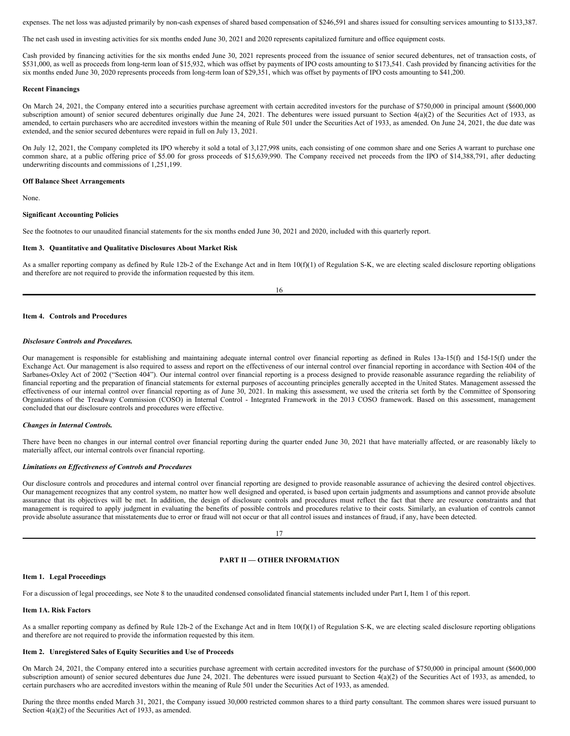expenses. The net loss was adjusted primarily by non-cash expenses of shared based compensation of \$246,591 and shares issued for consulting services amounting to \$133,387.

The net cash used in investing activities for six months ended June 30, 2021 and 2020 represents capitalized furniture and office equipment costs.

Cash provided by financing activities for the six months ended June 30, 2021 represents proceed from the issuance of senior secured debentures, net of transaction costs, of \$531,000, as well as proceeds from long-term loan of \$15,932, which was offset by payments of IPO costs amounting to \$173,541. Cash provided by financing activities for the six months ended June 30, 2020 represents proceeds from long-term loan of \$29,351, which was offset by payments of IPO costs amounting to \$41,200.

#### **Recent Financings**

On March 24, 2021, the Company entered into a securities purchase agreement with certain accredited investors for the purchase of \$750,000 in principal amount (\$600,000 subscription amount) of senior secured debentures originally due June 24, 2021. The debentures were issued pursuant to Section 4(a)(2) of the Securities Act of 1933, as amended, to certain purchasers who are accredited investors within the meaning of Rule 501 under the Securities Act of 1933, as amended. On June 24, 2021, the due date was extended, and the senior secured debentures were repaid in full on July 13, 2021.

On July 12, 2021, the Company completed its IPO whereby it sold a total of 3,127,998 units, each consisting of one common share and one Series A warrant to purchase one common share, at a public offering price of \$5.00 for gross proceeds of \$15,639,990. The Company received net proceeds from the IPO of \$14,388,791, after deducting underwriting discounts and commissions of 1,251,199.

#### **Off Balance Sheet Arrangements**

None.

### **Significant Accounting Policies**

See the footnotes to our unaudited financial statements for the six months ended June 30, 2021 and 2020, included with this quarterly report.

#### **Item 3. Quantitative and Qualitative Disclosures About Market Risk**

As a smaller reporting company as defined by Rule 12b-2 of the Exchange Act and in Item 10(f)(1) of Regulation S-K, we are electing scaled disclosure reporting obligations and therefore are not required to provide the information requested by this item.

16

## **Item 4. Controls and Procedures**

# *Disclosure Controls and Procedures.*

Our management is responsible for establishing and maintaining adequate internal control over financial reporting as defined in Rules 13a-15(f) and 15d-15(f) under the Exchange Act. Our management is also required to assess and report on the effectiveness of our internal control over financial reporting in accordance with Section 404 of the Sarbanes-Oxley Act of 2002 ("Section 404"). Our internal control over financial reporting is a process designed to provide reasonable assurance regarding the reliability of financial reporting and the preparation of financial statements for external purposes of accounting principles generally accepted in the United States. Management assessed the effectiveness of our internal control over financial reporting as of June 30, 2021. In making this assessment, we used the criteria set forth by the Committee of Sponsoring Organizations of the Treadway Commission (COSO) in Internal Control - Integrated Framework in the 2013 COSO framework. Based on this assessment, management concluded that our disclosure controls and procedures were effective.

#### *Changes in Internal Controls.*

There have been no changes in our internal control over financial reporting during the quarter ended June 30, 2021 that have materially affected, or are reasonably likely to materially affect, our internal controls over financial reporting.

#### *Limitations on Ef ectiveness of Controls and Procedures*

Our disclosure controls and procedures and internal control over financial reporting are designed to provide reasonable assurance of achieving the desired control objectives. Our management recognizes that any control system, no matter how well designed and operated, is based upon certain judgments and assumptions and cannot provide absolute assurance that its objectives will be met. In addition, the design of disclosure controls and procedures must reflect the fact that there are resource constraints and that management is required to apply judgment in evaluating the benefits of possible controls and procedures relative to their costs. Similarly, an evaluation of controls cannot provide absolute assurance that misstatements due to error or fraud will not occur or that all control issues and instances of fraud, if any, have been detected.

17

# **PART II — OTHER INFORMATION**

#### **Item 1. Legal Proceedings**

For a discussion of legal proceedings, see Note 8 to the unaudited condensed consolidated financial statements included under Part I, Item 1 of this report.

#### **Item 1A. Risk Factors**

As a smaller reporting company as defined by Rule 12b-2 of the Exchange Act and in Item 10(f)(1) of Regulation S-K, we are electing scaled disclosure reporting obligations and therefore are not required to provide the information requested by this item.

#### **Item 2. Unregistered Sales of Equity Securities and Use of Proceeds**

On March 24, 2021, the Company entered into a securities purchase agreement with certain accredited investors for the purchase of \$750,000 in principal amount (\$600,000 subscription amount) of senior secured debentures due June 24, 2021. The debentures were issued pursuant to Section  $4(a)(2)$  of the Securities Act of 1933, as amended, to certain purchasers who are accredited investors within the meaning of Rule 501 under the Securities Act of 1933, as amended.

During the three months ended March 31, 2021, the Company issued 30,000 restricted common shares to a third party consultant. The common shares were issued pursuant to Section 4(a)(2) of the Securities Act of 1933, as amended.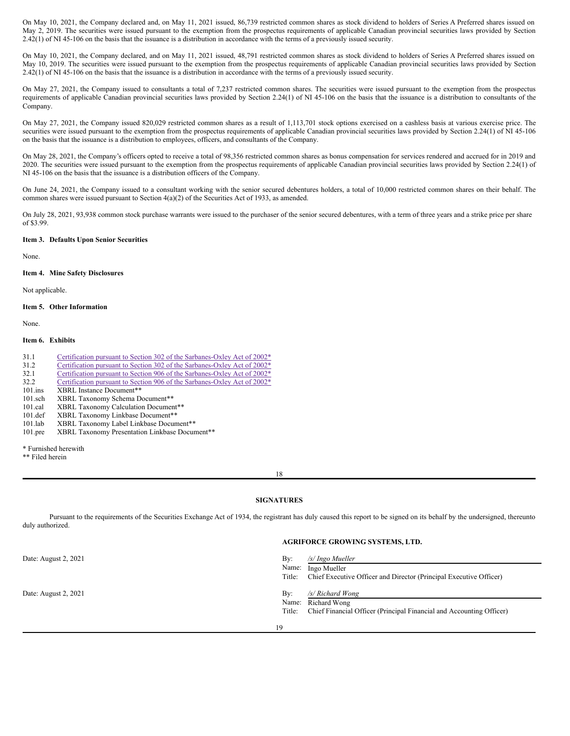On May 10, 2021, the Company declared and, on May 11, 2021 issued, 86,739 restricted common shares as stock dividend to holders of Series A Preferred shares issued on May 2, 2019. The securities were issued pursuant to the exemption from the prospectus requirements of applicable Canadian provincial securities laws provided by Section 2.42(1) of NI 45-106 on the basis that the issuance is a distribution in accordance with the terms of a previously issued security.

On May 10, 2021, the Company declared, and on May 11, 2021 issued, 48,791 restricted common shares as stock dividend to holders of Series A Preferred shares issued on May 10, 2019. The securities were issued pursuant to the exemption from the prospectus requirements of applicable Canadian provincial securities laws provided by Section 2.42(1) of NI 45-106 on the basis that the issuance is a distribution in accordance with the terms of a previously issued security.

On May 27, 2021, the Company issued to consultants a total of 7,237 restricted common shares. The securities were issued pursuant to the exemption from the prospectus requirements of applicable Canadian provincial securities laws provided by Section 2.24(1) of NI 45-106 on the basis that the issuance is a distribution to consultants of the Company.

On May 27, 2021, the Company issued 820,029 restricted common shares as a result of 1,113,701 stock options exercised on a cashless basis at various exercise price. The securities were issued pursuant to the exemption from the prospectus requirements of applicable Canadian provincial securities laws provided by Section 2.24(1) of NI 45-106 on the basis that the issuance is a distribution to employees, officers, and consultants of the Company.

On May 28, 2021, the Company's officers opted to receive a total of 98,356 restricted common shares as bonus compensation for services rendered and accrued for in 2019 and 2020. The securities were issued pursuant to the exemption from the prospectus requirements of applicable Canadian provincial securities laws provided by Section 2.24(1) of NI 45-106 on the basis that the issuance is a distribution officers of the Company.

On June 24, 2021, the Company issued to a consultant working with the senior secured debentures holders, a total of 10,000 restricted common shares on their behalf. The common shares were issued pursuant to Section 4(a)(2) of the Securities Act of 1933, as amended.

On July 28, 2021, 93,938 common stock purchase warrants were issued to the purchaser of the senior secured debentures, with a term of three years and a strike price per share of \$3.99.

# **Item 3. Defaults Upon Senior Securities**

None.

#### **Item 4. Mine Safety Disclosures**

Not applicable.

# **Item 5. Other Information**

None.

# **Item 6. Exhibits**

| 31.1       | Certification pursuant to Section 302 of the Sarbanes-Oxley Act of 2002* |
|------------|--------------------------------------------------------------------------|
| 31.2       | Certification pursuant to Section 302 of the Sarbanes-Oxley Act of 2002* |
| 32.1       | Certification pursuant to Section 906 of the Sarbanes-Oxley Act of 2002* |
| 32.2       | Certification pursuant to Section 906 of the Sarbanes-Oxley Act of 2002* |
| $101$ .ins | XBRL Instance Document**                                                 |
| $101$ .sch | XBRL Taxonomy Schema Document**                                          |
| $101$ .cal | XBRL Taxonomy Calculation Document**                                     |
| $101.$ def | XBRL Taxonomy Linkbase Document**                                        |
| $101$ .lab | XBRL Taxonomy Label Linkbase Document**                                  |

101.pre XBRL Taxonomy Presentation Linkbase Document\*\*

\* Furnished herewith

\*\* Filed herein

18

## **SIGNATURES**

Pursuant to the requirements of the Securities Exchange Act of 1934, the registrant has duly caused this report to be signed on its behalf by the undersigned, thereunto duly authorized.

# **AGRIFORCE GROWING SYSTEMS, LTD.**

| Date: August 2, 2021 | $\rm\,By:$<br>Name:<br>Title: | /s/ Ingo Mueller<br>Ingo Mueller<br>Chief Executive Officer and Director (Principal Executive Officer) |
|----------------------|-------------------------------|--------------------------------------------------------------------------------------------------------|
| Date: August 2, 2021 | $\rm\,By:$                    | /s/ Richard Wong                                                                                       |
|                      | Name:                         | Richard Wong                                                                                           |
|                      | Title:                        | Chief Financial Officer (Principal Financial and Accounting Officer)                                   |
|                      | 19                            |                                                                                                        |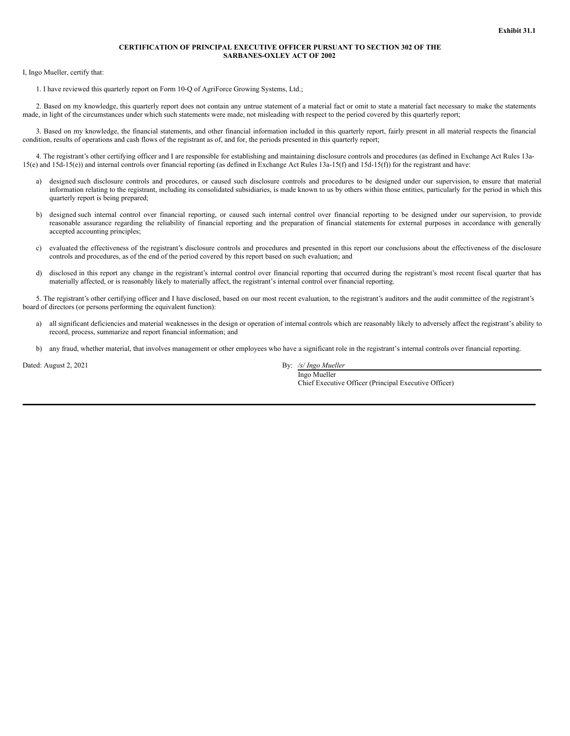## **CERTIFICATION OF PRINCIPAL EXECUTIVE OFFICER PURSUANT TO SECTION 302 OF THE SARBANES-OXLEY ACT OF 2002**

<span id="page-12-0"></span>I, Ingo Mueller, certify that:

1. I have reviewed this quarterly report on Form 10-Q of AgriForce Growing Systems, Ltd.;

2. Based on my knowledge, this quarterly report does not contain any untrue statement of a material fact or omit to state a material fact necessary to make the statements made, in light of the circumstances under which such statements were made, not misleading with respect to the period covered by this quarterly report;

3. Based on my knowledge, the financial statements, and other financial information included in this quarterly report, fairly present in all material respects the financial condition, results of operations and cash flows of the registrant as of, and for, the periods presented in this quarterly report;

4. The registrant's other certifying officer and I are responsible for establishing and maintaining disclosure controls and procedures (as defined in Exchange Act Rules 13a-15(e) and 15d-15(e)) and internal controls over financial reporting (as defined in Exchange Act Rules 13a-15(f) and 15d-15(f)) for the registrant and have:

- a) designed such disclosure controls and procedures, or caused such disclosure controls and procedures to be designed under our supervision, to ensure that material information relating to the registrant, including its consolidated subsidiaries, is made known to us by others within those entities, particularly for the period in which this quarterly report is being prepared;
- b) designed such internal control over financial reporting, or caused such internal control over financial reporting to be designed under our supervision, to provide reasonable assurance regarding the reliability of financial reporting and the preparation of financial statements for external purposes in accordance with generally accepted accounting principles;
- c) evaluated the effectiveness of the registrant's disclosure controls and procedures and presented in this report our conclusions about the effectiveness of the disclosure controls and procedures, as of the end of the period covered by this report based on such evaluation; and
- d) disclosed in this report any change in the registrant's internal control over financial reporting that occurred during the registrant's most recent fiscal quarter that has materially affected, or is reasonably likely to materially affect, the registrant's internal control over financial reporting.

5. The registrant's other certifying officer and I have disclosed, based on our most recent evaluation, to the registrant's auditors and the audit committee of the registrant's board of directors (or persons performing the equivalent function):

- a) all significant deficiencies and material weaknesses in the design or operation of internal controls which are reasonably likely to adversely affect the registrant's ability to record, process, summarize and report financial information; and
- b) any fraud, whether material, that involves management or other employees who have a significant role in the registrant's internal controls over financial reporting.

Dated: August 2, 2021 By: */s/ Ingo Mueller*

Ingo Mueller Chief Executive Officer (Principal Executive Officer)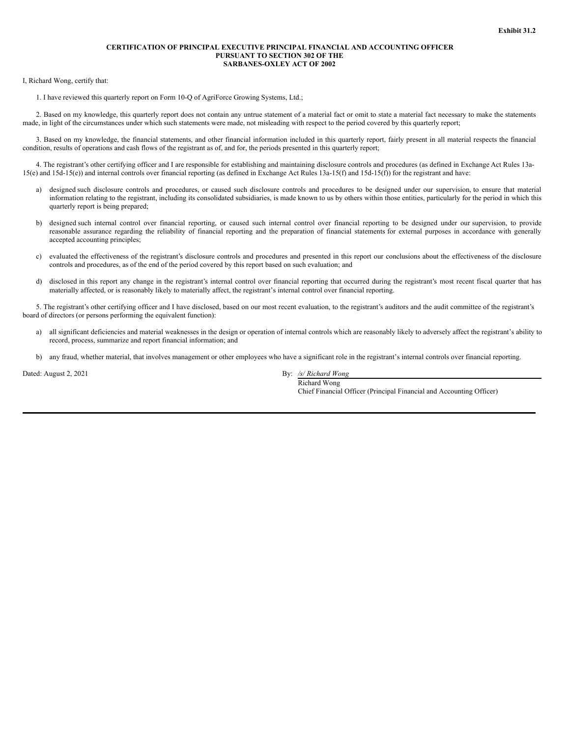#### **CERTIFICATION OF PRINCIPAL EXECUTIVE PRINCIPAL FINANCIAL AND ACCOUNTING OFFICER PURSUANT TO SECTION 302 OF THE SARBANES-OXLEY ACT OF 2002**

<span id="page-13-0"></span>I, Richard Wong, certify that:

1. I have reviewed this quarterly report on Form 10-Q of AgriForce Growing Systems, Ltd.;

2. Based on my knowledge, this quarterly report does not contain any untrue statement of a material fact or omit to state a material fact necessary to make the statements made, in light of the circumstances under which such statements were made, not misleading with respect to the period covered by this quarterly report;

3. Based on my knowledge, the financial statements, and other financial information included in this quarterly report, fairly present in all material respects the financial condition, results of operations and cash flows of the registrant as of, and for, the periods presented in this quarterly report;

4. The registrant's other certifying officer and I are responsible for establishing and maintaining disclosure controls and procedures (as defined in Exchange Act Rules 13a-15(e) and 15d-15(e)) and internal controls over financial reporting (as defined in Exchange Act Rules 13a-15(f) and 15d-15(f)) for the registrant and have:

- a) designed such disclosure controls and procedures, or caused such disclosure controls and procedures to be designed under our supervision, to ensure that material information relating to the registrant, including its consolidated subsidiaries, is made known to us by others within those entities, particularly for the period in which this quarterly report is being prepared;
- b) designed such internal control over financial reporting, or caused such internal control over financial reporting to be designed under our supervision, to provide reasonable assurance regarding the reliability of financial reporting and the preparation of financial statements for external purposes in accordance with generally accepted accounting principles;
- c) evaluated the effectiveness of the registrant's disclosure controls and procedures and presented in this report our conclusions about the effectiveness of the disclosure controls and procedures, as of the end of the period covered by this report based on such evaluation; and
- d) disclosed in this report any change in the registrant's internal control over financial reporting that occurred during the registrant's most recent fiscal quarter that has materially affected, or is reasonably likely to materially affect, the registrant's internal control over financial reporting.

5. The registrant's other certifying officer and I have disclosed, based on our most recent evaluation, to the registrant's auditors and the audit committee of the registrant's board of directors (or persons performing the equivalent function):

- a) all significant deficiencies and material weaknesses in the design or operation of internal controls which are reasonably likely to adversely affect the registrant's ability to record, process, summarize and report financial information; and
- b) any fraud, whether material, that involves management or other employees who have a significant role in the registrant's internal controls over financial reporting.

Dated: August 2, 2021 By: */s/ Richard Wong*

Richard Wong Chief Financial Officer (Principal Financial and Accounting Officer)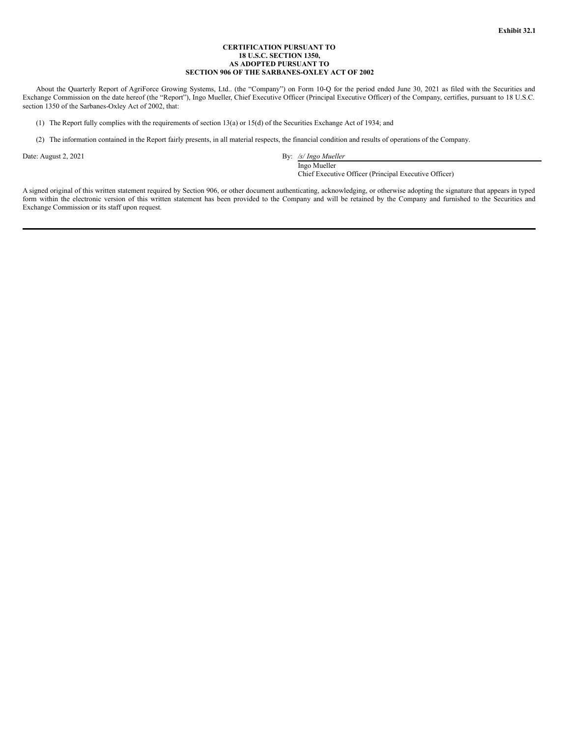## **CERTIFICATION PURSUANT TO 18 U.S.C. SECTION 1350, AS ADOPTED PURSUANT TO SECTION 906 OF THE SARBANES-OXLEY ACT OF 2002**

<span id="page-14-0"></span>About the Quarterly Report of AgriForce Growing Systems, Ltd.. (the "Company") on Form 10-Q for the period ended June 30, 2021 as filed with the Securities and Exchange Commission on the date hereof (the "Report"), Ingo Mueller, Chief Executive Officer (Principal Executive Officer) of the Company, certifies, pursuant to 18 U.S.C. section 1350 of the Sarbanes-Oxley Act of 2002, that:

(1) The Report fully complies with the requirements of section 13(a) or 15(d) of the Securities Exchange Act of 1934; and

(2) The information contained in the Report fairly presents, in all material respects, the financial condition and results of operations of the Company.

Date: August 2, 2021 By: */s/ Ingo Mueller*

Ingo Mueller

Chief Executive Officer (Principal Executive Officer)

A signed original of this written statement required by Section 906, or other document authenticating, acknowledging, or otherwise adopting the signature that appears in typed form within the electronic version of this written statement has been provided to the Company and will be retained by the Company and furnished to the Securities and Exchange Commission or its staff upon request.